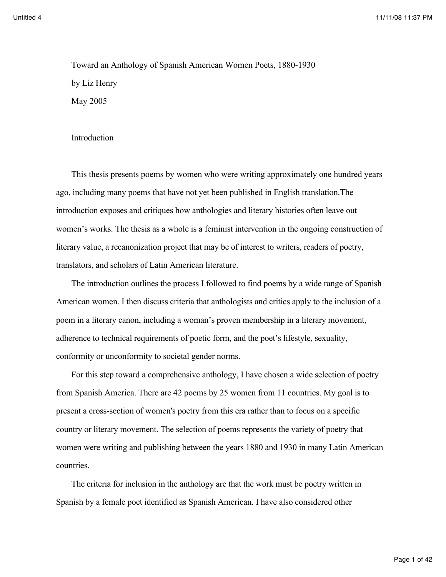Toward an Anthology of Spanish American Women Poets, 1880-1930 by Liz Henry May 2005

## Introduction

This thesis presents poems by women who were writing approximately one hundred years ago, including many poems that have not yet been published in English translation.The introduction exposes and critiques how anthologies and literary histories often leave out women's works. The thesis as a whole is a feminist intervention in the ongoing construction of literary value, a recanonization project that may be of interest to writers, readers of poetry, translators, and scholars of Latin American literature.

The introduction outlines the process I followed to find poems by a wide range of Spanish American women. I then discuss criteria that anthologists and critics apply to the inclusion of a poem in a literary canon, including a woman's proven membership in a literary movement, adherence to technical requirements of poetic form, and the poet's lifestyle, sexuality, conformity or unconformity to societal gender norms.

For this step toward a comprehensive anthology, I have chosen a wide selection of poetry from Spanish America. There are 42 poems by 25 women from 11 countries. My goal is to present a cross-section of women's poetry from this era rather than to focus on a specific country or literary movement. The selection of poems represents the variety of poetry that women were writing and publishing between the years 1880 and 1930 in many Latin American countries.

The criteria for inclusion in the anthology are that the work must be poetry written in Spanish by a female poet identified as Spanish American. I have also considered other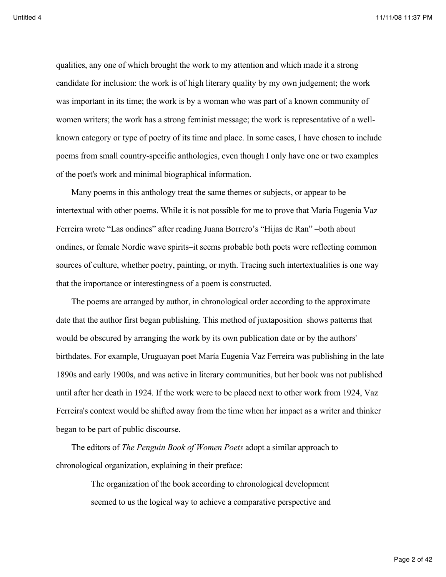qualities, any one of which brought the work to my attention and which made it a strong candidate for inclusion: the work is of high literary quality by my own judgement; the work was important in its time; the work is by a woman who was part of a known community of women writers; the work has a strong feminist message; the work is representative of a wellknown category or type of poetry of its time and place. In some cases, I have chosen to include poems from small country-specific anthologies, even though I only have one or two examples of the poet's work and minimal biographical information.

Many poems in this anthology treat the same themes or subjects, or appear to be intertextual with other poems. While it is not possible for me to prove that María Eugenia Vaz Ferreira wrote "Las ondines" after reading Juana Borrero's "Hijas de Ran" –both about ondines, or female Nordic wave spirits–it seems probable both poets were reflecting common sources of culture, whether poetry, painting, or myth. Tracing such intertextualities is one way that the importance or interestingness of a poem is constructed.

The poems are arranged by author, in chronological order according to the approximate date that the author first began publishing. This method of juxtaposition shows patterns that would be obscured by arranging the work by its own publication date or by the authors' birthdates. For example, Uruguayan poet María Eugenia Vaz Ferreira was publishing in the late 1890s and early 1900s, and was active in literary communities, but her book was not published until after her death in 1924. If the work were to be placed next to other work from 1924, Vaz Ferreira's context would be shifted away from the time when her impact as a writer and thinker began to be part of public discourse.

The editors of *The Penguin Book of Women Poets* adopt a similar approach to chronological organization, explaining in their preface:

> The organization of the book according to chronological development seemed to us the logical way to achieve a comparative perspective and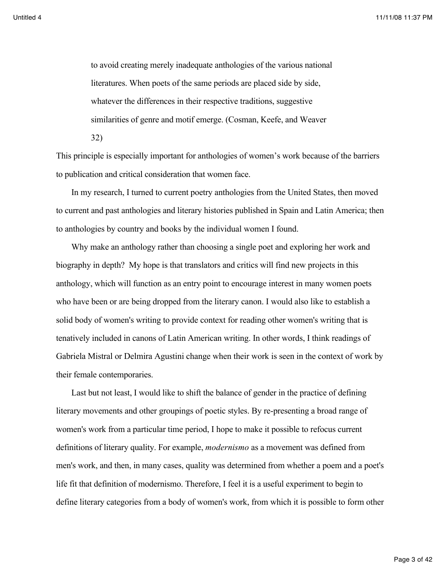to avoid creating merely inadequate anthologies of the various national literatures. When poets of the same periods are placed side by side, whatever the differences in their respective traditions, suggestive similarities of genre and motif emerge. (Cosman, Keefe, and Weaver 32)

This principle is especially important for anthologies of women's work because of the barriers to publication and critical consideration that women face.

In my research, I turned to current poetry anthologies from the United States, then moved to current and past anthologies and literary histories published in Spain and Latin America; then to anthologies by country and books by the individual women I found.

Why make an anthology rather than choosing a single poet and exploring her work and biography in depth? My hope is that translators and critics will find new projects in this anthology, which will function as an entry point to encourage interest in many women poets who have been or are being dropped from the literary canon. I would also like to establish a solid body of women's writing to provide context for reading other women's writing that is tenatively included in canons of Latin American writing. In other words, I think readings of Gabriela Mistral or Delmira Agustini change when their work is seen in the context of work by their female contemporaries.

Last but not least, I would like to shift the balance of gender in the practice of defining literary movements and other groupings of poetic styles. By re-presenting a broad range of women's work from a particular time period, I hope to make it possible to refocus current definitions of literary quality. For example, *modernismo* as a movement was defined from men's work, and then, in many cases, quality was determined from whether a poem and a poet's life fit that definition of modernismo. Therefore, I feel it is a useful experiment to begin to define literary categories from a body of women's work, from which it is possible to form other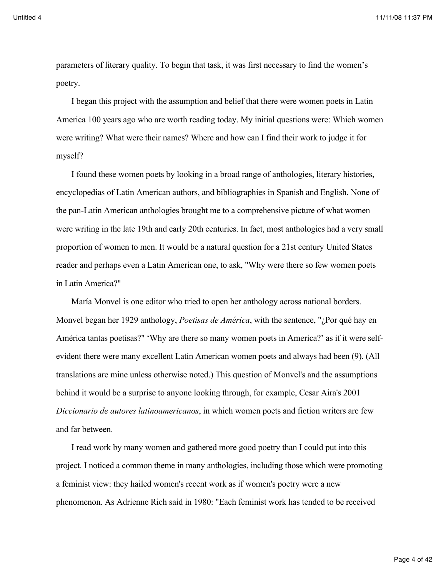parameters of literary quality. To begin that task, it was first necessary to find the women's poetry.

I began this project with the assumption and belief that there were women poets in Latin America 100 years ago who are worth reading today. My initial questions were: Which women were writing? What were their names? Where and how can I find their work to judge it for myself?

I found these women poets by looking in a broad range of anthologies, literary histories, encyclopedias of Latin American authors, and bibliographies in Spanish and English. None of the pan-Latin American anthologies brought me to a comprehensive picture of what women were writing in the late 19th and early 20th centuries. In fact, most anthologies had a very small proportion of women to men. It would be a natural question for a 21st century United States reader and perhaps even a Latin American one, to ask, "Why were there so few women poets in Latin America?"

María Monvel is one editor who tried to open her anthology across national borders. Monvel began her 1929 anthology, *Poetisas de América*, with the sentence, "¿Por qué hay en América tantas poetisas?" 'Why are there so many women poets in America?' as if it were selfevident there were many excellent Latin American women poets and always had been (9). (All translations are mine unless otherwise noted.) This question of Monvel's and the assumptions behind it would be a surprise to anyone looking through, for example, Cesar Aira's 2001 *Diccionario de autores latinoamericanos*, in which women poets and fiction writers are few and far between.

I read work by many women and gathered more good poetry than I could put into this project. I noticed a common theme in many anthologies, including those which were promoting a feminist view: they hailed women's recent work as if women's poetry were a new phenomenon. As Adrienne Rich said in 1980: "Each feminist work has tended to be received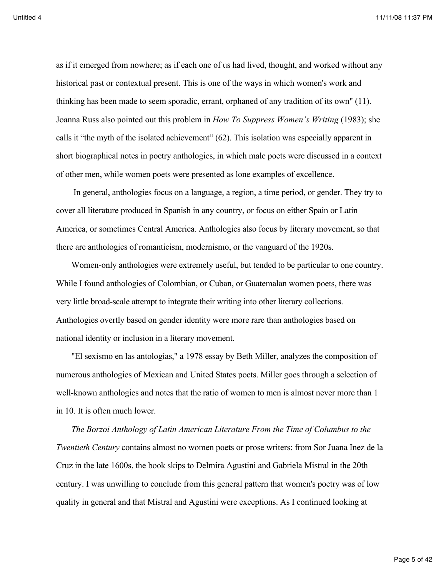as if it emerged from nowhere; as if each one of us had lived, thought, and worked without any historical past or contextual present. This is one of the ways in which women's work and thinking has been made to seem sporadic, errant, orphaned of any tradition of its own" (11). Joanna Russ also pointed out this problem in *How To Suppress Women's Writing* (1983); she calls it "the myth of the isolated achievement" (62). This isolation was especially apparent in short biographical notes in poetry anthologies, in which male poets were discussed in a context of other men, while women poets were presented as lone examples of excellence.

 In general, anthologies focus on a language, a region, a time period, or gender. They try to cover all literature produced in Spanish in any country, or focus on either Spain or Latin America, or sometimes Central America. Anthologies also focus by literary movement, so that there are anthologies of romanticism, modernismo, or the vanguard of the 1920s.

Women-only anthologies were extremely useful, but tended to be particular to one country. While I found anthologies of Colombian, or Cuban, or Guatemalan women poets, there was very little broad-scale attempt to integrate their writing into other literary collections. Anthologies overtly based on gender identity were more rare than anthologies based on national identity or inclusion in a literary movement.

"El sexismo en las antologías," a 1978 essay by Beth Miller, analyzes the composition of numerous anthologies of Mexican and United States poets. Miller goes through a selection of well-known anthologies and notes that the ratio of women to men is almost never more than 1 in 10. It is often much lower.

*The Borzoi Anthology of Latin American Literature From the Time of Columbus to the Twentieth Century* contains almost no women poets or prose writers: from Sor Juana Inez de la Cruz in the late 1600s, the book skips to Delmira Agustini and Gabriela Mistral in the 20th century. I was unwilling to conclude from this general pattern that women's poetry was of low quality in general and that Mistral and Agustini were exceptions. As I continued looking at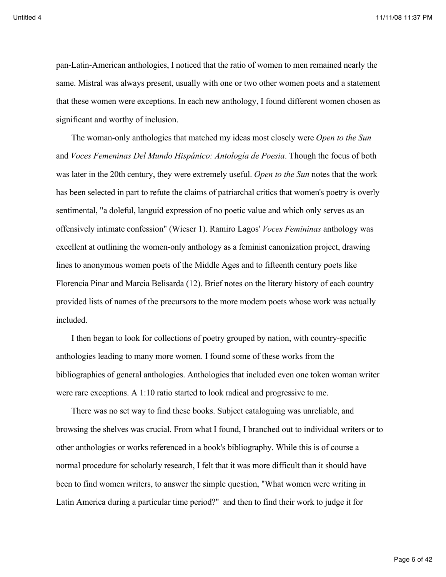pan-Latin-American anthologies, I noticed that the ratio of women to men remained nearly the same. Mistral was always present, usually with one or two other women poets and a statement that these women were exceptions. In each new anthology, I found different women chosen as significant and worthy of inclusion.

The woman-only anthologies that matched my ideas most closely were *Open to the Sun* and *Voces Femeninas Del Mundo Hispánico: Antología de Poesia*. Though the focus of both was later in the 20th century, they were extremely useful. *Open to the Sun* notes that the work has been selected in part to refute the claims of patriarchal critics that women's poetry is overly sentimental, "a doleful, languid expression of no poetic value and which only serves as an offensively intimate confession" (Wieser 1). Ramiro Lagos' *Voces Femininas* anthology was excellent at outlining the women-only anthology as a feminist canonization project, drawing lines to anonymous women poets of the Middle Ages and to fifteenth century poets like Florencia Pinar and Marcia Belisarda (12). Brief notes on the literary history of each country provided lists of names of the precursors to the more modern poets whose work was actually included.

I then began to look for collections of poetry grouped by nation, with country-specific anthologies leading to many more women. I found some of these works from the bibliographies of general anthologies. Anthologies that included even one token woman writer were rare exceptions. A 1:10 ratio started to look radical and progressive to me.

There was no set way to find these books. Subject cataloguing was unreliable, and browsing the shelves was crucial. From what I found, I branched out to individual writers or to other anthologies or works referenced in a book's bibliography. While this is of course a normal procedure for scholarly research, I felt that it was more difficult than it should have been to find women writers, to answer the simple question, "What women were writing in Latin America during a particular time period?" and then to find their work to judge it for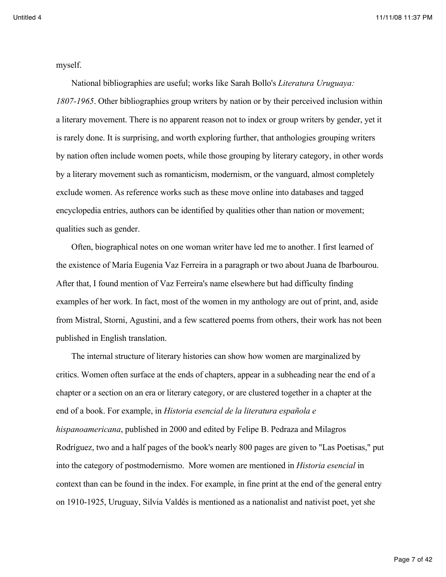myself.

National bibliographies are useful; works like Sarah Bollo's *Literatura Uruguaya: 1807-1965*. Other bibliographies group writers by nation or by their perceived inclusion within a literary movement. There is no apparent reason not to index or group writers by gender, yet it is rarely done. It is surprising, and worth exploring further, that anthologies grouping writers by nation often include women poets, while those grouping by literary category, in other words by a literary movement such as romanticism, modernism, or the vanguard, almost completely exclude women. As reference works such as these move online into databases and tagged encyclopedia entries, authors can be identified by qualities other than nation or movement; qualities such as gender.

Often, biographical notes on one woman writer have led me to another. I first learned of the existence of María Eugenia Vaz Ferreira in a paragraph or two about Juana de Ibarbourou. After that, I found mention of Vaz Ferreira's name elsewhere but had difficulty finding examples of her work. In fact, most of the women in my anthology are out of print, and, aside from Mistral, Storni, Agustini, and a few scattered poems from others, their work has not been published in English translation.

The internal structure of literary histories can show how women are marginalized by critics. Women often surface at the ends of chapters, appear in a subheading near the end of a chapter or a section on an era or literary category, or are clustered together in a chapter at the end of a book. For example, in *Historia esencial de la literatura española e hispanoamericana*, published in 2000 and edited by Felipe B. Pedraza and Milagros Rodríguez, two and a half pages of the book's nearly 800 pages are given to "Las Poetisas," put into the category of postmodernismo. More women are mentioned in *Historia esencial* in context than can be found in the index. For example, in fine print at the end of the general entry on 1910-1925, Uruguay, Silvia Valdés is mentioned as a nationalist and nativist poet, yet she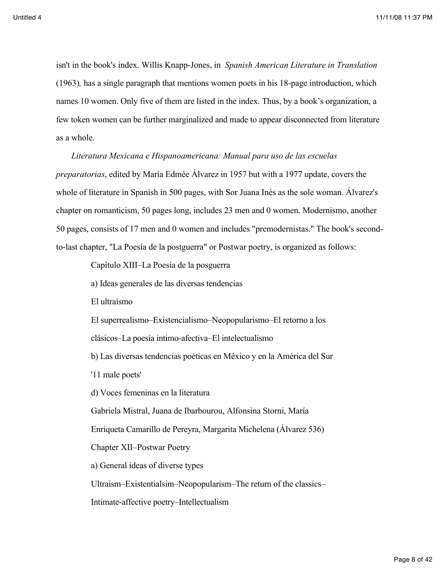isn't in the book's index. Willis Knapp-Jones, in *Spanish American Literature in Translation*  (1963)*,* has a single paragraph that mentions women poets in his 18-page introduction, which names 10 women. Only five of them are listed in the index. Thus, by a book's organization, a few token women can be further marginalized and made to appear disconnected from literature as a whole.

*Literatura Mexicana e Hispanoamericana: Manual para uso de las escuelas preparatorias*, edited by María Edmée Álvarez in 1957 but with a 1977 update, covers the whole of literature in Spanish in 500 pages, with Sor Juana Inés as the sole woman. Álvarez's chapter on romanticism, 50 pages long, includes 23 men and 0 women. Modernismo, another 50 pages, consists of 17 men and 0 women and includes "premodernistas." The book's secondto-last chapter, "La Poesía de la postguerra" or Postwar poetry, is organized as follows:

Capítulo XIII–La Poesía de la posguerra

a) Ideas generales de las diversas tendencias

El ultraísmo

El superrealismo–Existencialismo–Neopopularismo–El retorno a los

clásicos–La poesía intimo-afectiva–El intelectualismo

b) Las diversas tendencias poéticas en México y en la América del Sur

'11 male poets'

d) Voces femeninas en la literatura

Gabriela Mistral, Juana de Ibarbourou, Alfonsina Storni, María

Enriqueta Camarillo de Pereyra, Margarita Michelena (Álvarez 536)

Chapter XII–Postwar Poetry

a) General ideas of diverse types

Ultraism–Existentialsim–Neopopularism–The return of the classics–

Intimate-affective poetry–Intellectualism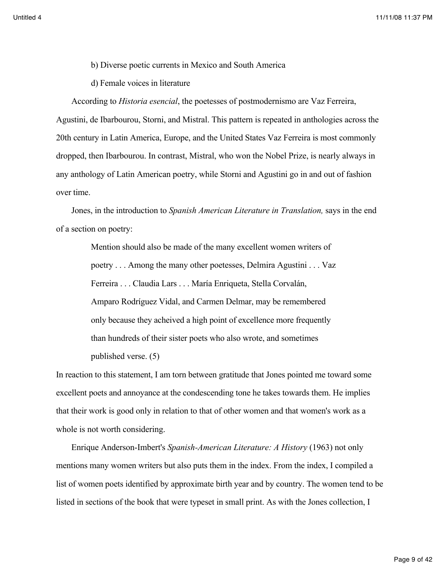- b) Diverse poetic currents in Mexico and South America
- d) Female voices in literature

According to *Historia esencial*, the poetesses of postmodernismo are Vaz Ferreira, Agustini, de Ibarbourou, Storni, and Mistral. This pattern is repeated in anthologies across the 20th century in Latin America, Europe, and the United States Vaz Ferreira is most commonly dropped, then Ibarbourou. In contrast, Mistral, who won the Nobel Prize, is nearly always in any anthology of Latin American poetry, while Storni and Agustini go in and out of fashion over time.

Jones, in the introduction to *Spanish American Literature in Translation,* says in the end of a section on poetry:

> Mention should also be made of the many excellent women writers of poetry . . . Among the many other poetesses, Delmira Agustini . . . Vaz Ferreira . . . Claudia Lars . . . María Enriqueta, Stella Corvalán, Amparo Rodríguez Vidal, and Carmen Delmar, may be remembered only because they acheived a high point of excellence more frequently than hundreds of their sister poets who also wrote, and sometimes published verse. (5)

In reaction to this statement, I am torn between gratitude that Jones pointed me toward some excellent poets and annoyance at the condescending tone he takes towards them. He implies that their work is good only in relation to that of other women and that women's work as a whole is not worth considering.

Enrique Anderson-Imbert's *Spanish-American Literature: A History* (1963) not only mentions many women writers but also puts them in the index. From the index, I compiled a list of women poets identified by approximate birth year and by country. The women tend to be listed in sections of the book that were typeset in small print. As with the Jones collection, I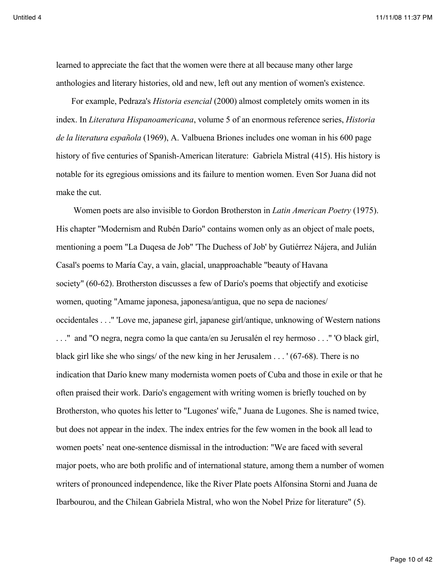learned to appreciate the fact that the women were there at all because many other large anthologies and literary histories, old and new, left out any mention of women's existence.

For example, Pedraza's *Historia esencial* (2000) almost completely omits women in its index. In *Literatura Hispanoamericana*, volume 5 of an enormous reference series, *Historia de la literatura española* (1969), A. Valbuena Briones includes one woman in his 600 page history of five centuries of Spanish-American literature: Gabriela Mistral (415). His history is notable for its egregious omissions and its failure to mention women. Even Sor Juana did not make the cut.

 Women poets are also invisible to Gordon Brotherston in *Latin American Poetry* (1975). His chapter "Modernism and Rubén Darío" contains women only as an object of male poets, mentioning a poem "La Duqesa de Job" 'The Duchess of Job' by Gutiérrez Nájera, and Julián Casal's poems to María Cay, a vain, glacial, unapproachable "beauty of Havana society" (60-62). Brotherston discusses a few of Darío's poems that objectify and exoticise women, quoting "Amame japonesa, japonesa/antigua, que no sepa de naciones/ occidentales . . ." 'Love me, japanese girl, japanese girl/antique, unknowing of Western nations . . ." and "O negra, negra como la que canta/en su Jerusalén el rey hermoso . . ." 'O black girl, black girl like she who sings/ of the new king in her Jerusalem . . . ' (67-68). There is no indication that Darío knew many modernista women poets of Cuba and those in exile or that he often praised their work. Darío's engagement with writing women is briefly touched on by Brotherston, who quotes his letter to "Lugones' wife," Juana de Lugones. She is named twice, but does not appear in the index. The index entries for the few women in the book all lead to women poets' neat one-sentence dismissal in the introduction: "We are faced with several major poets, who are both prolific and of international stature, among them a number of women writers of pronounced independence, like the River Plate poets Alfonsina Storni and Juana de Ibarbourou, and the Chilean Gabriela Mistral, who won the Nobel Prize for literature" (5).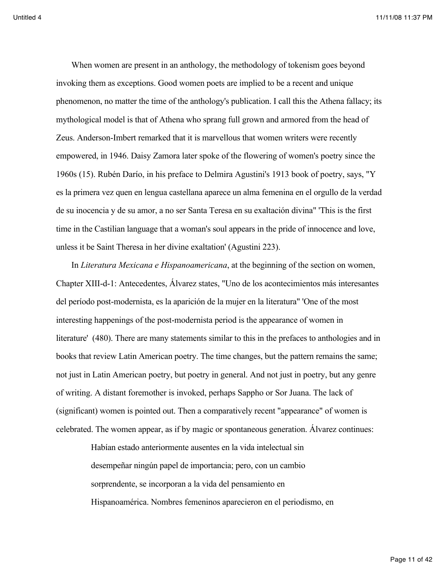When women are present in an anthology, the methodology of tokenism goes beyond invoking them as exceptions. Good women poets are implied to be a recent and unique phenomenon, no matter the time of the anthology's publication. I call this the Athena fallacy; its mythological model is that of Athena who sprang full grown and armored from the head of Zeus. Anderson-Imbert remarked that it is marvellous that women writers were recently empowered, in 1946. Daisy Zamora later spoke of the flowering of women's poetry since the 1960s (15). Rubén Darío, in his preface to Delmira Agustini's 1913 book of poetry, says, "Y es la primera vez quen en lengua castellana aparece un alma femenina en el orgullo de la verdad de su inocencia y de su amor, a no ser Santa Teresa en su exaltación divina" 'This is the first time in the Castilian language that a woman's soul appears in the pride of innocence and love, unless it be Saint Theresa in her divine exaltation' (Agustini 223).

In *Literatura Mexicana e Hispanoamericana*, at the beginning of the section on women, Chapter XIII-d-1: Antecedentes, Álvarez states, "Uno de los acontecimientos más interesantes del período post-modernista, es la aparición de la mujer en la literatura" 'One of the most interesting happenings of the post-modernista period is the appearance of women in literature' (480). There are many statements similar to this in the prefaces to anthologies and in books that review Latin American poetry. The time changes, but the pattern remains the same; not just in Latin American poetry, but poetry in general. And not just in poetry, but any genre of writing. A distant foremother is invoked, perhaps Sappho or Sor Juana. The lack of (significant) women is pointed out. Then a comparatively recent "appearance" of women is celebrated. The women appear, as if by magic or spontaneous generation. Álvarez continues:

> Habían estado anteriormente ausentes en la vida intelectual sin desempeñar ningún papel de importancia; pero, con un cambio sorprendente, se incorporan a la vida del pensamiento en Hispanoamérica. Nombres femeninos aparecieron en el periodismo, en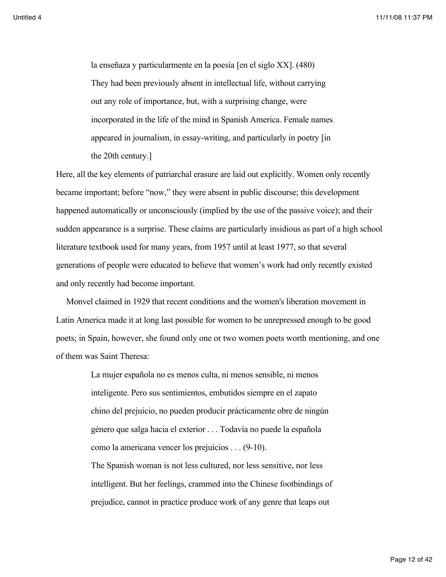la enseñaza y particularmente en la poesía [en el siglo XX]. (480) They had been previously absent in intellectual life, without carrying out any role of importance, but, with a surprising change, were incorporated in the life of the mind in Spanish America. Female names appeared in journalism, in essay-writing, and particularly in poetry [in the 20th century.]

Here, all the key elements of patriarchal erasure are laid out explicitly. Women only recently became important; before "now," they were absent in public discourse; this development happened automatically or unconsciously (implied by the use of the passive voice); and their sudden appearance is a surprise. These claims are particularly insidious as part of a high school literature textbook used for many years, from 1957 until at least 1977, so that several generations of people were educated to believe that women's work had only recently existed and only recently had become important.

Monvel claimed in 1929 that recent conditions and the women's liberation movement in Latin America made it at long last possible for women to be unrepressed enough to be good poets; in Spain, however, she found only one or two women poets worth mentioning, and one of them was Saint Theresa:

> La mujer española no es menos culta, ni menos sensible, ni menos inteligente. Pero sus sentimientos, embutidos siempre en el zapato chino del prejuicio, no pueden producir prácticamente obre de ningún género que salga hacia el exterior . . . Todavía no puede la española como la americana vencer los prejuicios . . . (9-10). The Spanish woman is not less cultured, nor less sensitive, nor less intelligent. But her feelings, crammed into the Chinese footbindings of prejudice, cannot in practice produce work of any genre that leaps out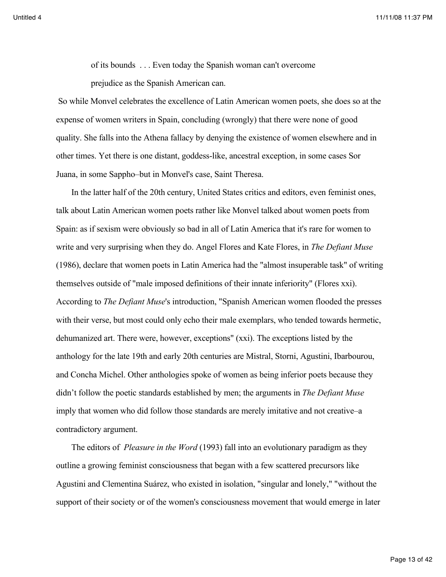of its bounds . . . Even today the Spanish woman can't overcome prejudice as the Spanish American can.

 So while Monvel celebrates the excellence of Latin American women poets, she does so at the expense of women writers in Spain, concluding (wrongly) that there were none of good quality. She falls into the Athena fallacy by denying the existence of women elsewhere and in other times. Yet there is one distant, goddess-like, ancestral exception, in some cases Sor Juana, in some Sappho–but in Monvel's case, Saint Theresa.

In the latter half of the 20th century, United States critics and editors, even feminist ones, talk about Latin American women poets rather like Monvel talked about women poets from Spain: as if sexism were obviously so bad in all of Latin America that it's rare for women to write and very surprising when they do. Angel Flores and Kate Flores, in *The Defiant Muse* (1986), declare that women poets in Latin America had the "almost insuperable task" of writing themselves outside of "male imposed definitions of their innate inferiority" (Flores xxi). According to *The Defiant Muse*'s introduction, "Spanish American women flooded the presses with their verse, but most could only echo their male exemplars, who tended towards hermetic, dehumanized art. There were, however, exceptions" (xxi). The exceptions listed by the anthology for the late 19th and early 20th centuries are Mistral, Storni, Agustini, Ibarbourou, and Concha Michel. Other anthologies spoke of women as being inferior poets because they didn't follow the poetic standards established by men; the arguments in *The Defiant Muse* imply that women who did follow those standards are merely imitative and not creative–a contradictory argument.

The editors of *Pleasure in the Word* (1993) fall into an evolutionary paradigm as they outline a growing feminist consciousness that began with a few scattered precursors like Agustini and Clementina Suárez, who existed in isolation, "singular and lonely," "without the support of their society or of the women's consciousness movement that would emerge in later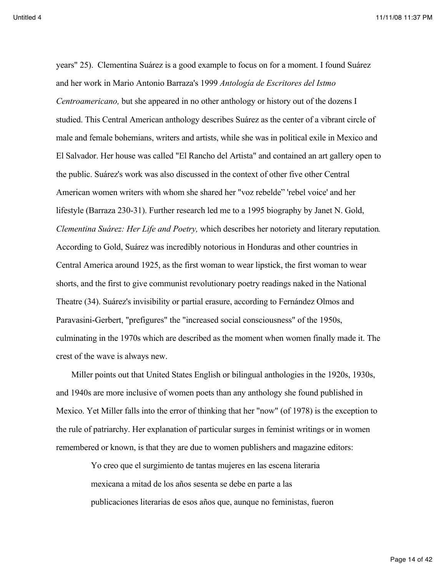years" 25). Clementina Suárez is a good example to focus on for a moment. I found Suárez and her work in Mario Antonio Barraza's 1999 *Antología de Escritores del Istmo Centroamericano,* but she appeared in no other anthology or history out of the dozens I studied. This Central American anthology describes Suárez as the center of a vibrant circle of male and female bohemians, writers and artists, while she was in political exile in Mexico and El Salvador. Her house was called "El Rancho del Artista" and contained an art gallery open to the public. Suárez's work was also discussed in the context of other five other Central American women writers with whom she shared her "voz rebelde" 'rebel voice' and her lifestyle (Barraza 230-31). Further research led me to a 1995 biography by Janet N. Gold, *Clementina Suárez: Her Life and Poetry,* which describes her notoriety and literary reputation*.* According to Gold, Suárez was incredibly notorious in Honduras and other countries in Central America around 1925, as the first woman to wear lipstick, the first woman to wear shorts, and the first to give communist revolutionary poetry readings naked in the National Theatre (34). Suárez's invisibility or partial erasure, according to Fernández Olmos and Paravasini-Gerbert, "prefigures" the "increased social consciousness" of the 1950s, culminating in the 1970s which are described as the moment when women finally made it. The crest of the wave is always new.

Miller points out that United States English or bilingual anthologies in the 1920s, 1930s, and 1940s are more inclusive of women poets than any anthology she found published in Mexico. Yet Miller falls into the error of thinking that her "now" (of 1978) is the exception to the rule of patriarchy. Her explanation of particular surges in feminist writings or in women remembered or known, is that they are due to women publishers and magazine editors:

> Yo creo que el surgimiento de tantas mujeres en las escena literaria mexicana a mitad de los años sesenta se debe en parte a las publicaciones literarias de esos años que, aunque no feministas, fueron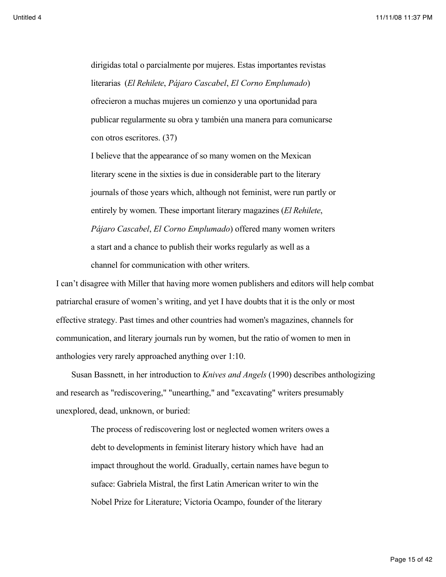dirigidas total o parcialmente por mujeres. Estas importantes revistas literarias (*El Rehilete*, *Pájaro Cascabel*, *El Corno Emplumado*) ofrecieron a muchas mujeres un comienzo y una oportunidad para publicar regularmente su obra y también una manera para comunicarse con otros escritores. (37)

I believe that the appearance of so many women on the Mexican literary scene in the sixties is due in considerable part to the literary journals of those years which, although not feminist, were run partly or entirely by women. These important literary magazines (*El Rehilete*, *Pájaro Cascabel*, *El Corno Emplumado*) offered many women writers a start and a chance to publish their works regularly as well as a channel for communication with other writers.

I can't disagree with Miller that having more women publishers and editors will help combat patriarchal erasure of women's writing, and yet I have doubts that it is the only or most effective strategy. Past times and other countries had women's magazines, channels for communication, and literary journals run by women, but the ratio of women to men in anthologies very rarely approached anything over 1:10.

Susan Bassnett, in her introduction to *Knives and Angels* (1990) describes anthologizing and research as "rediscovering," "unearthing," and "excavating" writers presumably unexplored, dead, unknown, or buried:

> The process of rediscovering lost or neglected women writers owes a debt to developments in feminist literary history which have had an impact throughout the world. Gradually, certain names have begun to suface: Gabriela Mistral, the first Latin American writer to win the Nobel Prize for Literature; Victoria Ocampo, founder of the literary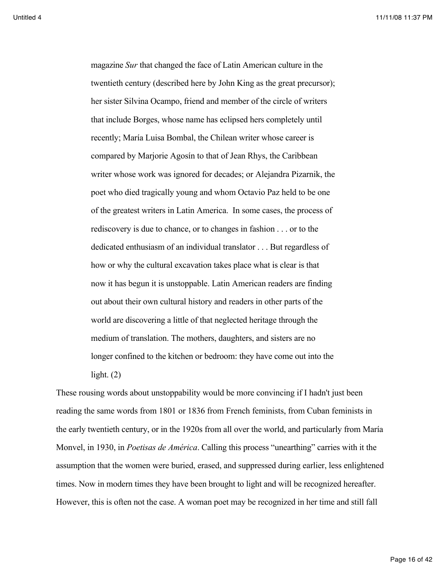magazine *Sur* that changed the face of Latin American culture in the twentieth century (described here by John King as the great precursor); her sister Silvina Ocampo, friend and member of the circle of writers that include Borges, whose name has eclipsed hers completely until recently; María Luisa Bombal, the Chilean writer whose career is compared by Marjorie Agosín to that of Jean Rhys, the Caribbean writer whose work was ignored for decades; or Alejandra Pizarnik, the poet who died tragically young and whom Octavio Paz held to be one of the greatest writers in Latin America. In some cases, the process of rediscovery is due to chance, or to changes in fashion . . . or to the dedicated enthusiasm of an individual translator . . . But regardless of how or why the cultural excavation takes place what is clear is that now it has begun it is unstoppable. Latin American readers are finding out about their own cultural history and readers in other parts of the world are discovering a little of that neglected heritage through the medium of translation. The mothers, daughters, and sisters are no longer confined to the kitchen or bedroom: they have come out into the light.  $(2)$ 

These rousing words about unstoppability would be more convincing if I hadn't just been reading the same words from 1801 or 1836 from French feminists, from Cuban feminists in the early twentieth century, or in the 1920s from all over the world, and particularly from María Monvel, in 1930, in *Poetisas de América*. Calling this process "unearthing" carries with it the assumption that the women were buried, erased, and suppressed during earlier, less enlightened times. Now in modern times they have been brought to light and will be recognized hereafter. However, this is often not the case. A woman poet may be recognized in her time and still fall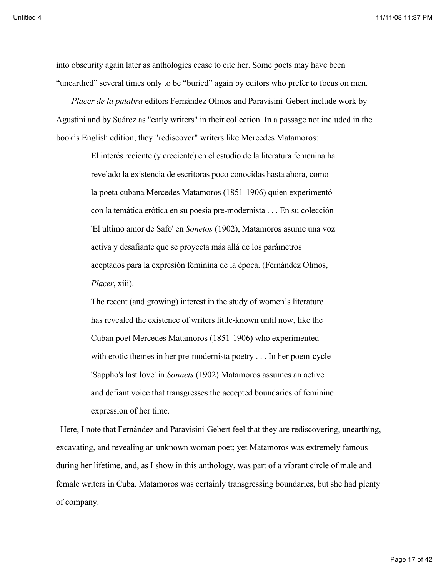into obscurity again later as anthologies cease to cite her. Some poets may have been "unearthed" several times only to be "buried" again by editors who prefer to focus on men.

*Placer de la palabra* editors Fernández Olmos and Paravisini-Gebert include work by Agustini and by Suárez as "early writers" in their collection. In a passage not included in the book's English edition, they "rediscover" writers like Mercedes Matamoros:

> El interés reciente (y creciente) en el estudio de la literatura femenina ha revelado la existencia de escritoras poco conocidas hasta ahora, como la poeta cubana Mercedes Matamoros (1851-1906) quien experimentó con la temática erótica en su poesía pre-modernista . . . En su colección 'El ultimo amor de Safo' en *Sonetos* (1902), Matamoros asume una voz activa y desafiante que se proyecta más allá de los parámetros aceptados para la expresión feminina de la época. (Fernández Olmos, *Placer*, xiii).

> The recent (and growing) interest in the study of women's literature has revealed the existence of writers little-known until now, like the Cuban poet Mercedes Matamoros (1851-1906) who experimented with erotic themes in her pre-modernista poetry . . . In her poem-cycle 'Sappho's last love' in *Sonnets* (1902) Matamoros assumes an active and defiant voice that transgresses the accepted boundaries of feminine expression of her time.

 Here, I note that Fernández and Paravisini-Gebert feel that they are rediscovering, unearthing, excavating, and revealing an unknown woman poet; yet Matamoros was extremely famous during her lifetime, and, as I show in this anthology, was part of a vibrant circle of male and female writers in Cuba. Matamoros was certainly transgressing boundaries, but she had plenty of company.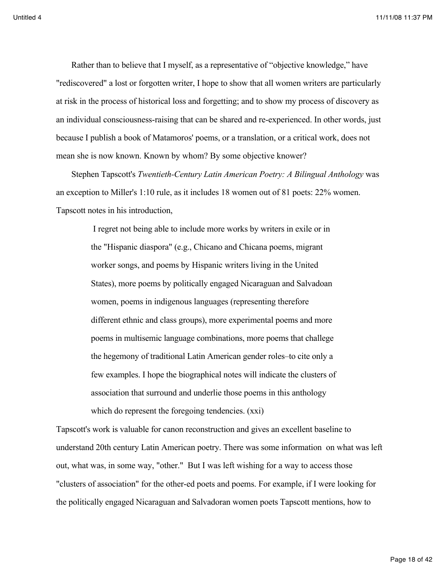Rather than to believe that I myself, as a representative of "objective knowledge," have "rediscovered" a lost or forgotten writer, I hope to show that all women writers are particularly at risk in the process of historical loss and forgetting; and to show my process of discovery as an individual consciousness-raising that can be shared and re-experienced. In other words, just because I publish a book of Matamoros' poems, or a translation, or a critical work, does not mean she is now known. Known by whom? By some objective knower?

Stephen Tapscott's *Twentieth-Century Latin American Poetry: A Bilingual Anthology* was an exception to Miller's 1:10 rule, as it includes 18 women out of 81 poets: 22% women. Tapscott notes in his introduction,

> I regret not being able to include more works by writers in exile or in the "Hispanic diaspora" (e.g., Chicano and Chicana poems, migrant worker songs, and poems by Hispanic writers living in the United States), more poems by politically engaged Nicaraguan and Salvadoan women, poems in indigenous languages (representing therefore different ethnic and class groups), more experimental poems and more poems in multisemic language combinations, more poems that challege the hegemony of traditional Latin American gender roles–to cite only a few examples. I hope the biographical notes will indicate the clusters of association that surround and underlie those poems in this anthology which do represent the foregoing tendencies. (xxi)

Tapscott's work is valuable for canon reconstruction and gives an excellent baseline to understand 20th century Latin American poetry. There was some information on what was left out, what was, in some way, "other." But I was left wishing for a way to access those "clusters of association" for the other-ed poets and poems. For example, if I were looking for the politically engaged Nicaraguan and Salvadoran women poets Tapscott mentions, how to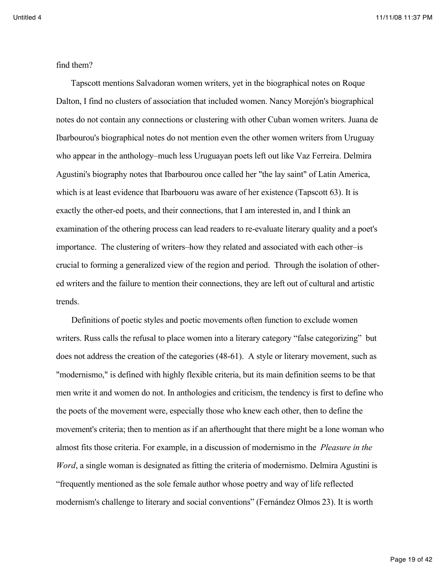find them?

 Tapscott mentions Salvadoran women writers, yet in the biographical notes on Roque Dalton, I find no clusters of association that included women. Nancy Morejón's biographical notes do not contain any connections or clustering with other Cuban women writers. Juana de Ibarbourou's biographical notes do not mention even the other women writers from Uruguay who appear in the anthology–much less Uruguayan poets left out like Vaz Ferreira. Delmira Agustini's biography notes that Ibarbourou once called her "the lay saint" of Latin America, which is at least evidence that Ibarbouoru was aware of her existence (Tapscott 63). It is exactly the other-ed poets, and their connections, that I am interested in, and I think an examination of the othering process can lead readers to re-evaluate literary quality and a poet's importance. The clustering of writers–how they related and associated with each other–is crucial to forming a generalized view of the region and period. Through the isolation of othered writers and the failure to mention their connections, they are left out of cultural and artistic trends.

Definitions of poetic styles and poetic movements often function to exclude women writers. Russ calls the refusal to place women into a literary category "false categorizing" but does not address the creation of the categories (48-61). A style or literary movement, such as "modernismo," is defined with highly flexible criteria, but its main definition seems to be that men write it and women do not. In anthologies and criticism, the tendency is first to define who the poets of the movement were, especially those who knew each other, then to define the movement's criteria; then to mention as if an afterthought that there might be a lone woman who almost fits those criteria. For example, in a discussion of modernismo in the *Pleasure in the Word*, a single woman is designated as fitting the criteria of modernismo. Delmira Agustini is "frequently mentioned as the sole female author whose poetry and way of life reflected modernism's challenge to literary and social conventions" (Fernández Olmos 23). It is worth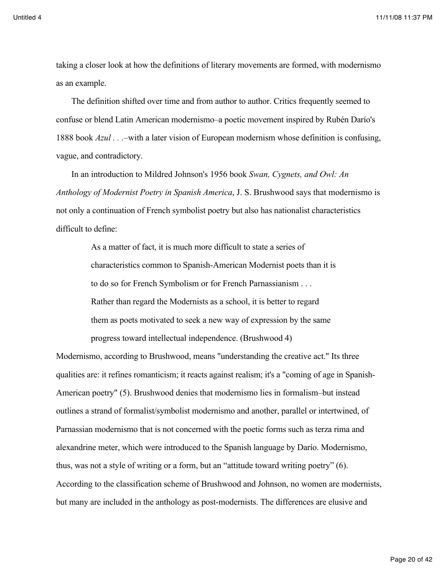taking a closer look at how the definitions of literary movements are formed, with modernismo as an example.

The definition shifted over time and from author to author. Critics frequently seemed to confuse or blend Latin American modernismo–a poetic movement inspired by Rubén Darío's 1888 book *Azul . . .–*with a later vision of European modernism whose definition is confusing, vague, and contradictory.

In an introduction to Mildred Johnson's 1956 book *Swan, Cygnets, and Owl: An Anthology of Modernist Poetry in Spanish America*, J. S. Brushwood says that modernismo is not only a continuation of French symbolist poetry but also has nationalist characteristics difficult to define:

> As a matter of fact, it is much more difficult to state a series of characteristics common to Spanish-American Modernist poets than it is to do so for French Symbolism or for French Parnassianism . . . Rather than regard the Modernists as a school, it is better to regard them as poets motivated to seek a new way of expression by the same progress toward intellectual independence. (Brushwood 4)

Modernismo, according to Brushwood, means "understanding the creative act." Its three qualities are: it refines romanticism; it reacts against realism; it's a "coming of age in Spanish-American poetry" (5). Brushwood denies that modernismo lies in formalism–but instead outlines a strand of formalist/symbolist modernismo and another, parallel or intertwined, of Parnassian modernismo that is not concerned with the poetic forms such as terza rima and alexandrine meter, which were introduced to the Spanish language by Darío. Modernismo, thus, was not a style of writing or a form, but an "attitude toward writing poetry" (6). According to the classification scheme of Brushwood and Johnson, no women are modernists, but many are included in the anthology as post-modernists. The differences are elusive and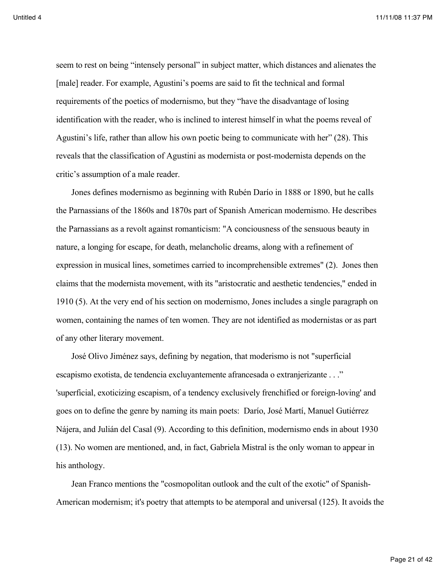seem to rest on being "intensely personal" in subject matter, which distances and alienates the [male] reader. For example, Agustini's poems are said to fit the technical and formal requirements of the poetics of modernismo, but they "have the disadvantage of losing identification with the reader, who is inclined to interest himself in what the poems reveal of Agustini's life, rather than allow his own poetic being to communicate with her" (28). This reveals that the classification of Agustini as modernista or post-modernista depends on the critic's assumption of a male reader.

Jones defines modernismo as beginning with Rubén Darío in 1888 or 1890, but he calls the Parnassians of the 1860s and 1870s part of Spanish American modernismo. He describes the Parnassians as a revolt against romanticism: "A conciousness of the sensuous beauty in nature, a longing for escape, for death, melancholic dreams, along with a refinement of expression in musical lines, sometimes carried to incomprehensible extremes" (2). Jones then claims that the modernista movement, with its "aristocratic and aesthetic tendencies," ended in 1910 (5). At the very end of his section on modernismo, Jones includes a single paragraph on women, containing the names of ten women. They are not identified as modernistas or as part of any other literary movement.

José Olivo Jiménez says, defining by negation, that moderismo is not "superficial escapismo exotista, de tendencia excluyantemente afrancesada o extranjerizante . . ." 'superficial, exoticizing escapism, of a tendency exclusively frenchified or foreign-loving' and goes on to define the genre by naming its main poets: Darío, José Martí, Manuel Gutiérrez Nájera, and Julián del Casal (9). According to this definition, modernismo ends in about 1930 (13). No women are mentioned, and, in fact, Gabriela Mistral is the only woman to appear in his anthology.

Jean Franco mentions the "cosmopolitan outlook and the cult of the exotic" of Spanish-American modernism; it's poetry that attempts to be atemporal and universal (125). It avoids the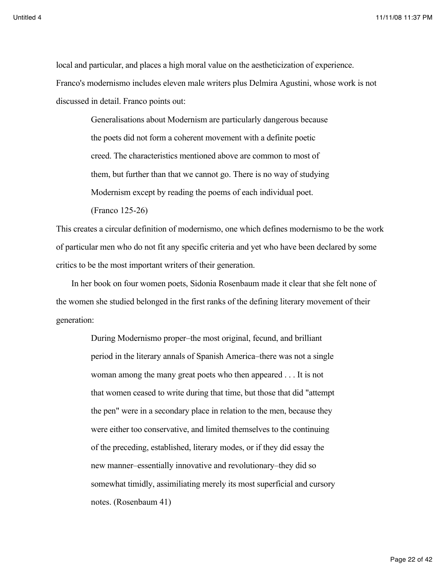local and particular, and places a high moral value on the aestheticization of experience. Franco's modernismo includes eleven male writers plus Delmira Agustini, whose work is not discussed in detail. Franco points out:

> Generalisations about Modernism are particularly dangerous because the poets did not form a coherent movement with a definite poetic creed. The characteristics mentioned above are common to most of them, but further than that we cannot go. There is no way of studying Modernism except by reading the poems of each individual poet. (Franco 125-26)

This creates a circular definition of modernismo, one which defines modernismo to be the work of particular men who do not fit any specific criteria and yet who have been declared by some critics to be the most important writers of their generation.

In her book on four women poets, Sidonia Rosenbaum made it clear that she felt none of the women she studied belonged in the first ranks of the defining literary movement of their generation:

> During Modernismo proper–the most original, fecund, and brilliant period in the literary annals of Spanish America–there was not a single woman among the many great poets who then appeared . . . It is not that women ceased to write during that time, but those that did "attempt the pen" were in a secondary place in relation to the men, because they were either too conservative, and limited themselves to the continuing of the preceding, established, literary modes, or if they did essay the new manner–essentially innovative and revolutionary–they did so somewhat timidly, assimiliating merely its most superficial and cursory notes. (Rosenbaum 41)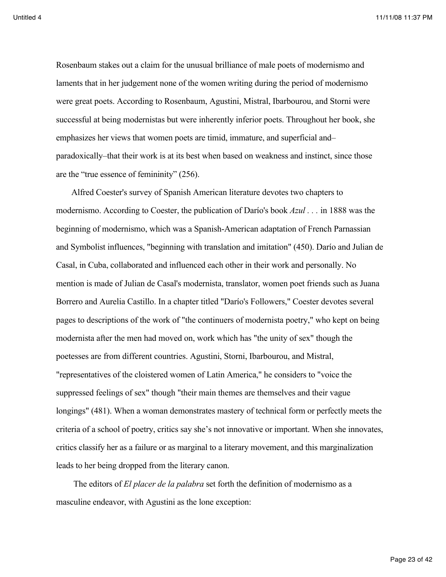Rosenbaum stakes out a claim for the unusual brilliance of male poets of modernismo and laments that in her judgement none of the women writing during the period of modernismo were great poets. According to Rosenbaum, Agustini, Mistral, Ibarbourou, and Storni were successful at being modernistas but were inherently inferior poets. Throughout her book, she emphasizes her views that women poets are timid, immature, and superficial and– paradoxically–that their work is at its best when based on weakness and instinct, since those are the "true essence of femininity" (256).

Alfred Coester's survey of Spanish American literature devotes two chapters to modernismo. According to Coester, the publication of Darío's book *Azul . . .* in 1888 was the beginning of modernismo, which was a Spanish-American adaptation of French Parnassian and Symbolist influences, "beginning with translation and imitation" (450). Darío and Julian de Casal, in Cuba, collaborated and influenced each other in their work and personally. No mention is made of Julian de Casal's modernista, translator, women poet friends such as Juana Borrero and Aurelia Castillo. In a chapter titled "Darío's Followers," Coester devotes several pages to descriptions of the work of "the continuers of modernista poetry," who kept on being modernista after the men had moved on, work which has "the unity of sex" though the poetesses are from different countries. Agustini, Storni, Ibarbourou, and Mistral, "representatives of the cloistered women of Latin America," he considers to "voice the suppressed feelings of sex" though "their main themes are themselves and their vague longings" (481). When a woman demonstrates mastery of technical form or perfectly meets the criteria of a school of poetry, critics say she's not innovative or important. When she innovates, critics classify her as a failure or as marginal to a literary movement, and this marginalization leads to her being dropped from the literary canon.

 The editors of *El placer de la palabra* set forth the definition of modernismo as a masculine endeavor, with Agustini as the lone exception: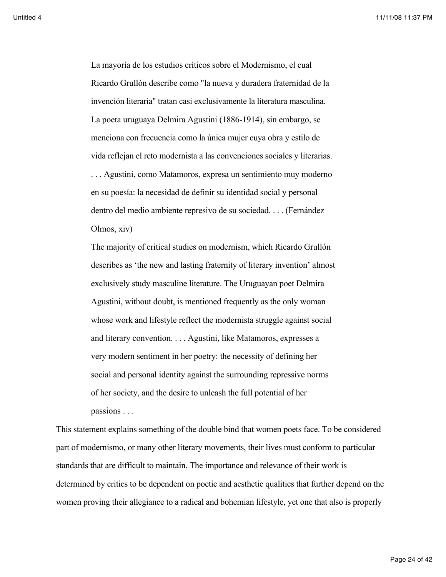La mayoría de los estudios críticos sobre el Modernismo, el cual Ricardo Grullón describe como "la nueva y duradera fraternidad de la invención literaria" tratan casi exclusivamente la literatura masculina. La poeta uruguaya Delmira Agustini (1886-1914), sin embargo, se menciona con frecuencia como la única mujer cuya obra y estilo de vida reflejan el reto modernista a las convenciones sociales y literarias. . . . Agustini, como Matamoros, expresa un sentimiento muy moderno en su poesía: la necesidad de definir su identidad social y personal dentro del medio ambiente represivo de su sociedad. . . . (Fernández Olmos, xiv)

The majority of critical studies on modernism, which Ricardo Grullón describes as 'the new and lasting fraternity of literary invention' almost exclusively study masculine literature. The Uruguayan poet Delmira Agustini, without doubt, is mentioned frequently as the only woman whose work and lifestyle reflect the modernista struggle against social and literary convention. . . . Agustini, like Matamoros, expresses a very modern sentiment in her poetry: the necessity of defining her social and personal identity against the surrounding repressive norms of her society, and the desire to unleash the full potential of her passions . . .

This statement explains something of the double bind that women poets face. To be considered part of modernismo, or many other literary movements, their lives must conform to particular standards that are difficult to maintain. The importance and relevance of their work is determined by critics to be dependent on poetic and aesthetic qualities that further depend on the women proving their allegiance to a radical and bohemian lifestyle, yet one that also is properly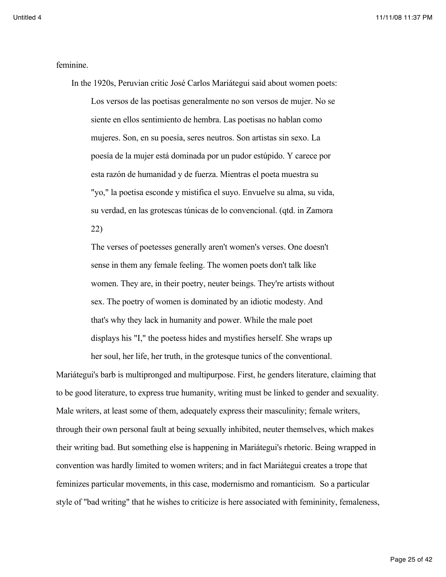feminine.

In the 1920s, Peruvian critic José Carlos Mariátegui said about women poets: Los versos de las poetisas generalmente no son versos de mujer. No se siente en ellos sentimiento de hembra. Las poetisas no hablan como mujeres. Son, en su poesía, seres neutros. Son artistas sin sexo. La poesía de la mujer está dominada por un pudor estúpido. Y carece por esta razón de humanidad y de fuerza. Mientras el poeta muestra su "yo," la poetisa esconde y mistifica el suyo. Envuelve su alma, su vida, su verdad, en las grotescas túnicas de lo convencional. (qtd. in Zamora 22)

The verses of poetesses generally aren't women's verses. One doesn't sense in them any female feeling. The women poets don't talk like women. They are, in their poetry, neuter beings. They're artists without sex. The poetry of women is dominated by an idiotic modesty. And that's why they lack in humanity and power. While the male poet displays his "I," the poetess hides and mystifies herself. She wraps up her soul, her life, her truth, in the grotesque tunics of the conventional.

Mariátegui's barb is multipronged and multipurpose. First, he genders literature, claiming that to be good literature, to express true humanity, writing must be linked to gender and sexuality. Male writers, at least some of them, adequately express their masculinity; female writers, through their own personal fault at being sexually inhibited, neuter themselves, which makes their writing bad. But something else is happening in Mariátegui's rhetoric. Being wrapped in convention was hardly limited to women writers; and in fact Mariátegui creates a trope that feminizes particular movements, in this case, modernismo and romanticism. So a particular style of "bad writing" that he wishes to criticize is here associated with femininity, femaleness,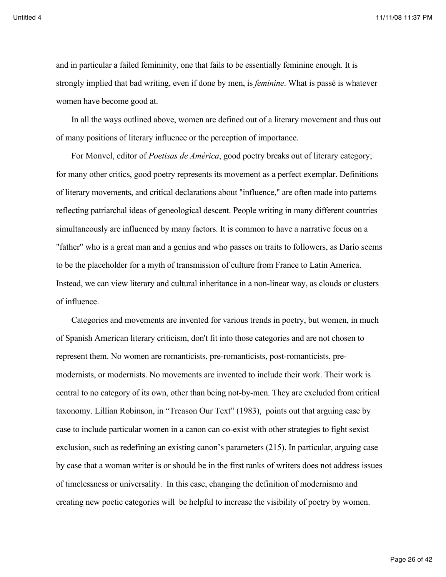and in particular a failed femininity, one that fails to be essentially feminine enough. It is strongly implied that bad writing, even if done by men, is *feminine*. What is passé is whatever women have become good at.

In all the ways outlined above, women are defined out of a literary movement and thus out of many positions of literary influence or the perception of importance.

For Monvel, editor of *Poetisas de América*, good poetry breaks out of literary category; for many other critics, good poetry represents its movement as a perfect exemplar. Definitions of literary movements, and critical declarations about "influence," are often made into patterns reflecting patriarchal ideas of geneological descent. People writing in many different countries simultaneously are influenced by many factors. It is common to have a narrative focus on a "father" who is a great man and a genius and who passes on traits to followers, as Darío seems to be the placeholder for a myth of transmission of culture from France to Latin America. Instead, we can view literary and cultural inheritance in a non-linear way, as clouds or clusters of influence.

Categories and movements are invented for various trends in poetry, but women, in much of Spanish American literary criticism, don't fit into those categories and are not chosen to represent them. No women are romanticists, pre-romanticists, post-romanticists, premodernists, or modernists. No movements are invented to include their work. Their work is central to no category of its own, other than being not-by-men. They are excluded from critical taxonomy. Lillian Robinson, in "Treason Our Text" (1983), points out that arguing case by case to include particular women in a canon can co-exist with other strategies to fight sexist exclusion, such as redefining an existing canon's parameters (215). In particular, arguing case by case that a woman writer is or should be in the first ranks of writers does not address issues of timelessness or universality. In this case, changing the definition of modernismo and creating new poetic categories will be helpful to increase the visibility of poetry by women.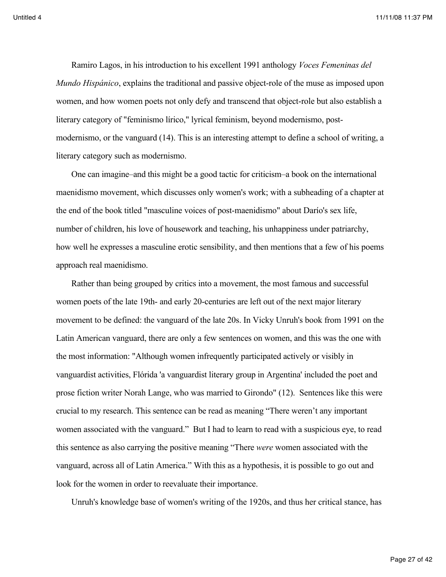Ramiro Lagos, in his introduction to his excellent 1991 anthology *Voces Femeninas del Mundo Hispánico*, explains the traditional and passive object-role of the muse as imposed upon women, and how women poets not only defy and transcend that object-role but also establish a literary category of "feminismo lírico," lyrical feminism, beyond modernismo, postmodernismo, or the vanguard (14). This is an interesting attempt to define a school of writing, a literary category such as modernismo.

One can imagine–and this might be a good tactic for criticism–a book on the international maenidismo movement, which discusses only women's work; with a subheading of a chapter at the end of the book titled "masculine voices of post-maenidismo" about Darío's sex life, number of children, his love of housework and teaching, his unhappiness under patriarchy, how well he expresses a masculine erotic sensibility, and then mentions that a few of his poems approach real maenidismo.

Rather than being grouped by critics into a movement, the most famous and successful women poets of the late 19th- and early 20-centuries are left out of the next major literary movement to be defined: the vanguard of the late 20s. In Vicky Unruh's book from 1991 on the Latin American vanguard, there are only a few sentences on women, and this was the one with the most information: "Although women infrequently participated actively or visibly in vanguardist activities, Flórida 'a vanguardist literary group in Argentina' included the poet and prose fiction writer Norah Lange, who was married to Girondo" (12). Sentences like this were crucial to my research. This sentence can be read as meaning "There weren't any important women associated with the vanguard." But I had to learn to read with a suspicious eye, to read this sentence as also carrying the positive meaning "There *were* women associated with the vanguard, across all of Latin America." With this as a hypothesis, it is possible to go out and look for the women in order to reevaluate their importance.

Unruh's knowledge base of women's writing of the 1920s, and thus her critical stance, has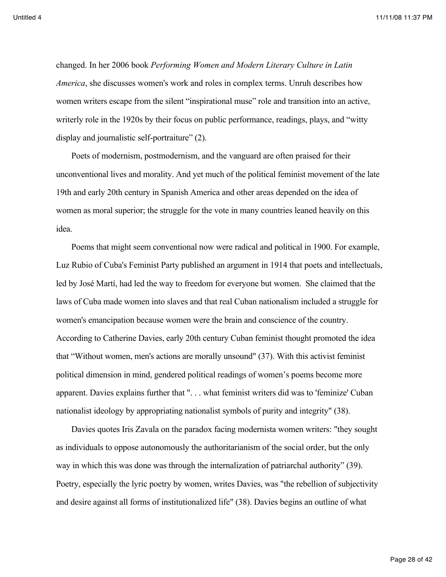changed. In her 2006 book *Performing Women and Modern Literary Culture in Latin America*, she discusses women's work and roles in complex terms. Unruh describes how women writers escape from the silent "inspirational muse" role and transition into an active, writerly role in the 1920s by their focus on public performance, readings, plays, and "witty display and journalistic self-portraiture" (2).

Poets of modernism, postmodernism, and the vanguard are often praised for their unconventional lives and morality. And yet much of the political feminist movement of the late 19th and early 20th century in Spanish America and other areas depended on the idea of women as moral superior; the struggle for the vote in many countries leaned heavily on this idea.

Poems that might seem conventional now were radical and political in 1900. For example, Luz Rubio of Cuba's Feminist Party published an argument in 1914 that poets and intellectuals, led by José Martí, had led the way to freedom for everyone but women. She claimed that the laws of Cuba made women into slaves and that real Cuban nationalism included a struggle for women's emancipation because women were the brain and conscience of the country. According to Catherine Davies, early 20th century Cuban feminist thought promoted the idea that "Without women, men's actions are morally unsound" (37). With this activist feminist political dimension in mind, gendered political readings of women's poems become more apparent. Davies explains further that ". . . what feminist writers did was to 'feminize' Cuban nationalist ideology by appropriating nationalist symbols of purity and integrity" (38).

Davies quotes Iris Zavala on the paradox facing modernista women writers: "they sought as individuals to oppose autonomously the authoritarianism of the social order, but the only way in which this was done was through the internalization of patriarchal authority" (39). Poetry, especially the lyric poetry by women, writes Davies, was "the rebellion of subjectivity and desire against all forms of institutionalized life" (38). Davies begins an outline of what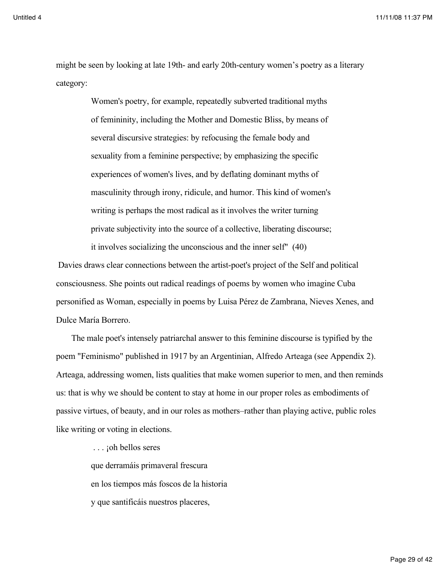might be seen by looking at late 19th- and early 20th-century women's poetry as a literary category:

> Women's poetry, for example, repeatedly subverted traditional myths of femininity, including the Mother and Domestic Bliss, by means of several discursive strategies: by refocusing the female body and sexuality from a feminine perspective; by emphasizing the specific experiences of women's lives, and by deflating dominant myths of masculinity through irony, ridicule, and humor. This kind of women's writing is perhaps the most radical as it involves the writer turning private subjectivity into the source of a collective, liberating discourse; it involves socializing the unconscious and the inner self" (40)

 Davies draws clear connections between the artist-poet's project of the Self and political consciousness. She points out radical readings of poems by women who imagine Cuba personified as Woman, especially in poems by Luisa Pérez de Zambrana, Nieves Xenes, and Dulce María Borrero.

The male poet's intensely patriarchal answer to this feminine discourse is typified by the poem "Feminismo" published in 1917 by an Argentinian, Alfredo Arteaga (see Appendix 2). Arteaga, addressing women, lists qualities that make women superior to men, and then reminds us: that is why we should be content to stay at home in our proper roles as embodiments of passive virtues, of beauty, and in our roles as mothers–rather than playing active, public roles like writing or voting in elections.

> ... *j*oh bellos seres que derramáis primaveral frescura en los tiempos más foscos de la historia y que santificáis nuestros placeres,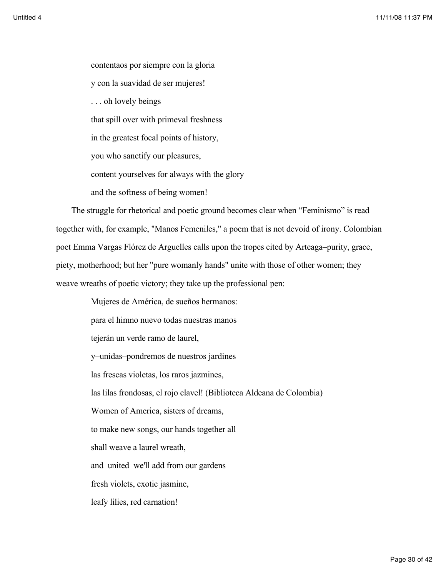contentaos por siempre con la gloria y con la suavidad de ser mujeres! . . . oh lovely beings that spill over with primeval freshness in the greatest focal points of history, you who sanctify our pleasures, content yourselves for always with the glory and the softness of being women!

The struggle for rhetorical and poetic ground becomes clear when "Feminismo" is read together with, for example, "Manos Femeniles," a poem that is not devoid of irony. Colombian poet Emma Vargas Flórez de Arguelles calls upon the tropes cited by Arteaga–purity, grace, piety, motherhood; but her "pure womanly hands" unite with those of other women; they weave wreaths of poetic victory; they take up the professional pen:

> Mujeres de América, de sueños hermanos: para el himno nuevo todas nuestras manos tejerán un verde ramo de laurel, y–unidas–pondremos de nuestros jardines las frescas violetas, los raros jazmines, las lilas frondosas, el rojo clavel! (Biblioteca Aldeana de Colombia) Women of America, sisters of dreams, to make new songs, our hands together all shall weave a laurel wreath, and–united–we'll add from our gardens fresh violets, exotic jasmine, leafy lilies, red carnation!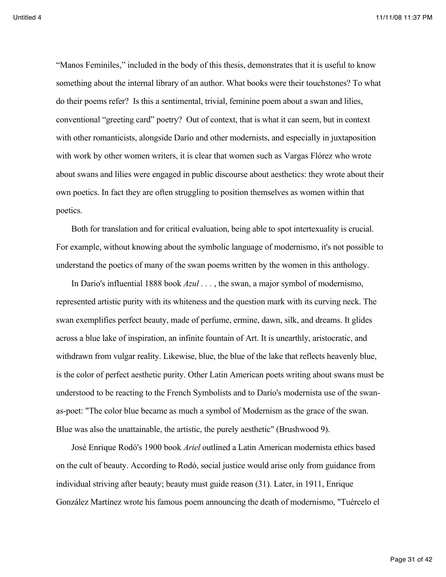"Manos Feminiles," included in the body of this thesis, demonstrates that it is useful to know something about the internal library of an author. What books were their touchstones? To what do their poems refer? Is this a sentimental, trivial, feminine poem about a swan and lilies, conventional "greeting card" poetry? Out of context, that is what it can seem, but in context with other romanticists, alongside Darío and other modernists, and especially in juxtaposition with work by other women writers, it is clear that women such as Vargas Flórez who wrote about swans and lilies were engaged in public discourse about aesthetics: they wrote about their own poetics. In fact they are often struggling to position themselves as women within that poetics.

Both for translation and for critical evaluation, being able to spot intertexuality is crucial. For example, without knowing about the symbolic language of modernismo, it's not possible to understand the poetics of many of the swan poems written by the women in this anthology.

In Dario's influential 1888 book *Azul* . . . , the swan, a major symbol of modernismo, represented artistic purity with its whiteness and the question mark with its curving neck. The swan exemplifies perfect beauty, made of perfume, ermine, dawn, silk, and dreams. It glides across a blue lake of inspiration, an infinite fountain of Art. It is unearthly, aristocratic, and withdrawn from vulgar reality. Likewise, blue, the blue of the lake that reflects heavenly blue, is the color of perfect aesthetic purity. Other Latin American poets writing about swans must be understood to be reacting to the French Symbolists and to Darío's modernista use of the swanas-poet: "The color blue became as much a symbol of Modernism as the grace of the swan. Blue was also the unattainable, the artistic, the purely aesthetic" (Brushwood 9).

José Enrique Rodó's 1900 book *Ariel* outlined a Latin American modernista ethics based on the cult of beauty. According to Rodó, social justice would arise only from guidance from individual striving after beauty; beauty must guide reason (31). Later, in 1911, Enrique González Martínez wrote his famous poem announcing the death of modernismo, "Tuércelo el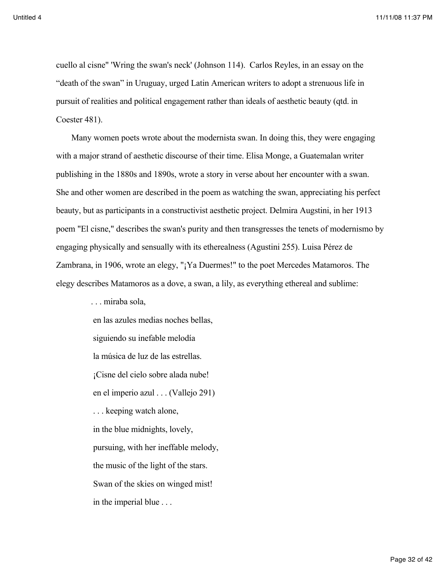cuello al cisne" 'Wring the swan's neck' (Johnson 114). Carlos Reyles, in an essay on the "death of the swan" in Uruguay, urged Latin American writers to adopt a strenuous life in pursuit of realities and political engagement rather than ideals of aesthetic beauty (qtd. in Coester 481).

Many women poets wrote about the modernista swan. In doing this, they were engaging with a major strand of aesthetic discourse of their time. Elisa Monge, a Guatemalan writer publishing in the 1880s and 1890s, wrote a story in verse about her encounter with a swan. She and other women are described in the poem as watching the swan, appreciating his perfect beauty, but as participants in a constructivist aesthetic project. Delmira Augstini, in her 1913 poem "El cisne," describes the swan's purity and then transgresses the tenets of modernismo by engaging physically and sensually with its etherealness (Agustini 255). Luisa Pérez de Zambrana, in 1906, wrote an elegy, "¡Ya Duermes!" to the poet Mercedes Matamoros. The elegy describes Matamoros as a dove, a swan, a lily, as everything ethereal and sublime:

. . . miraba sola,

 en las azules medias noches bellas, siguiendo su inefable melodía la música de luz de las estrellas. ¡Cisne del cielo sobre alada nube! en el imperio azul . . . (Vallejo 291) . . . keeping watch alone, in the blue midnights, lovely, pursuing, with her ineffable melody, the music of the light of the stars. Swan of the skies on winged mist! in the imperial blue . . .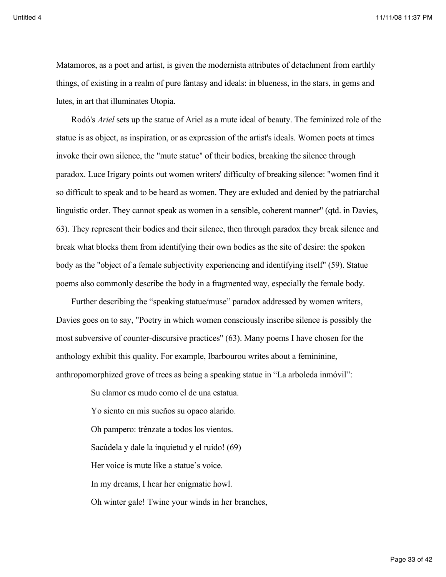Matamoros, as a poet and artist, is given the modernista attributes of detachment from earthly things, of existing in a realm of pure fantasy and ideals: in blueness, in the stars, in gems and lutes, in art that illuminates Utopia.

Rodó's *Ariel* sets up the statue of Ariel as a mute ideal of beauty. The feminized role of the statue is as object, as inspiration, or as expression of the artist's ideals. Women poets at times invoke their own silence, the "mute statue" of their bodies, breaking the silence through paradox. Luce Irigary points out women writers' difficulty of breaking silence: "women find it so difficult to speak and to be heard as women. They are exluded and denied by the patriarchal linguistic order. They cannot speak as women in a sensible, coherent manner" (qtd. in Davies, 63). They represent their bodies and their silence, then through paradox they break silence and break what blocks them from identifying their own bodies as the site of desire: the spoken body as the "object of a female subjectivity experiencing and identifying itself" (59). Statue poems also commonly describe the body in a fragmented way, especially the female body.

Further describing the "speaking statue/muse" paradox addressed by women writers, Davies goes on to say, "Poetry in which women consciously inscribe silence is possibly the most subversive of counter-discursive practices" (63). Many poems I have chosen for the anthology exhibit this quality. For example, Ibarbourou writes about a femininine, anthropomorphized grove of trees as being a speaking statue in "La arboleda inmóvil":

> Su clamor es mudo como el de una estatua. Yo siento en mis sueños su opaco alarido. Oh pampero: trénzate a todos los vientos. Sacúdela y dale la inquietud y el ruido! (69) Her voice is mute like a statue's voice. In my dreams, I hear her enigmatic howl. Oh winter gale! Twine your winds in her branches,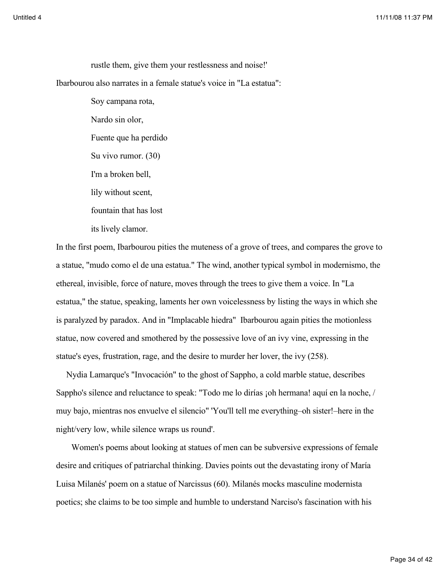rustle them, give them your restlessness and noise!' Ibarbourou also narrates in a female statue's voice in "La estatua": Soy campana rota,

> Nardo sin olor, Fuente que ha perdido Su vivo rumor. (30) I'm a broken bell, lily without scent, fountain that has lost its lively clamor.

In the first poem, Ibarbourou pities the muteness of a grove of trees, and compares the grove to a statue, "mudo como el de una estatua." The wind, another typical symbol in modernismo, the ethereal, invisible, force of nature, moves through the trees to give them a voice. In "La estatua," the statue, speaking, laments her own voicelessness by listing the ways in which she is paralyzed by paradox. And in "Implacable hiedra" Ibarbourou again pities the motionless statue, now covered and smothered by the possessive love of an ivy vine, expressing in the statue's eyes, frustration, rage, and the desire to murder her lover, the ivy (258).

Nydia Lamarque's "Invocación" to the ghost of Sappho, a cold marble statue, describes Sappho's silence and reluctance to speak: "Todo me lo dirías ¡oh hermana! aquí en la noche, / muy bajo, mientras nos envuelve el silencio" 'You'll tell me everything–oh sister!–here in the night/very low, while silence wraps us round'.

Women's poems about looking at statues of men can be subversive expressions of female desire and critiques of patriarchal thinking. Davies points out the devastating irony of María Luisa Milanés' poem on a statue of Narcissus (60). Milanés mocks masculine modernista poetics; she claims to be too simple and humble to understand Narciso's fascination with his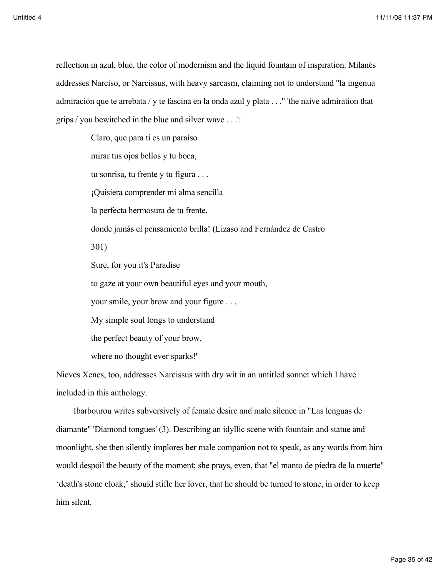reflection in azul, blue, the color of modernism and the liquid fountain of inspiration. Milanés addresses Narciso, or Narcissus, with heavy sarcasm, claiming not to understand "la ingenua admiración que te arrebata / y te fascina en la onda azul y plata . . ." 'the naive admiration that grips / you bewitched in the blue and silver wave . . .':

> Claro, que para ti es un paraíso mirar tus ojos bellos y tu boca, tu sonrisa, tu frente y tu figura . . . ¡Quisiera comprender mi alma sencilla la perfecta hermosura de tu frente, donde jamás el pensamiento brilla! (Lizaso and Fernández de Castro 301) Sure, for you it's Paradise to gaze at your own beautiful eyes and your mouth, your smile, your brow and your figure . . . My simple soul longs to understand the perfect beauty of your brow, where no thought ever sparks!'

Nieves Xenes, too, addresses Narcissus with dry wit in an untitled sonnet which I have included in this anthology.

 Ibarbourou writes subversively of female desire and male silence in "Las lenguas de diamante" 'Diamond tongues' (3). Describing an idyllic scene with fountain and statue and moonlight, she then silently implores her male companion not to speak, as any words from him would despoil the beauty of the moment; she prays, even, that "el manto de piedra de la muerte" 'death's stone cloak,' should stifle her lover, that he should be turned to stone, in order to keep him silent.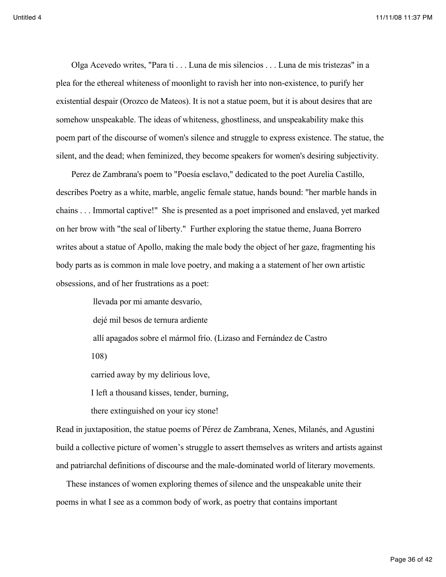Olga Acevedo writes, "Para ti . . . Luna de mis silencios . . . Luna de mis tristezas" in a plea for the ethereal whiteness of moonlight to ravish her into non-existence, to purify her existential despair (Orozco de Mateos). It is not a statue poem, but it is about desires that are somehow unspeakable. The ideas of whiteness, ghostliness, and unspeakability make this poem part of the discourse of women's silence and struggle to express existence. The statue, the silent, and the dead; when feminized, they become speakers for women's desiring subjectivity.

Perez de Zambrana's poem to "Poesía esclavo," dedicated to the poet Aurelia Castillo, describes Poetry as a white, marble, angelic female statue, hands bound: "her marble hands in chains . . . Immortal captive!" She is presented as a poet imprisoned and enslaved, yet marked on her brow with "the seal of liberty." Further exploring the statue theme, Juana Borrero writes about a statue of Apollo, making the male body the object of her gaze, fragmenting his body parts as is common in male love poetry, and making a a statement of her own artistic obsessions, and of her frustrations as a poet:

> llevada por mi amante desvarío, dejé mil besos de ternura ardiente allí apagados sobre el mármol frío. (Lizaso and Fernández de Castro 108)

carried away by my delirious love,

I left a thousand kisses, tender, burning,

there extinguished on your icy stone!

Read in juxtaposition, the statue poems of Pérez de Zambrana, Xenes, Milanés, and Agustini build a collective picture of women's struggle to assert themselves as writers and artists against and patriarchal definitions of discourse and the male-dominated world of literary movements.

These instances of women exploring themes of silence and the unspeakable unite their poems in what I see as a common body of work, as poetry that contains important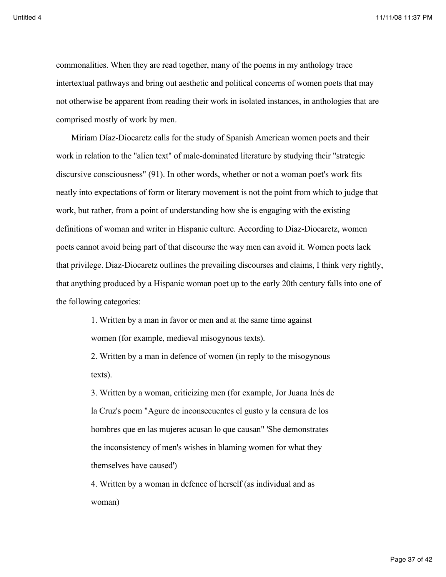commonalities. When they are read together, many of the poems in my anthology trace intertextual pathways and bring out aesthetic and political concerns of women poets that may not otherwise be apparent from reading their work in isolated instances, in anthologies that are comprised mostly of work by men.

Miriam Díaz-Diocaretz calls for the study of Spanish American women poets and their work in relation to the "alien text" of male-dominated literature by studying their "strategic discursive consciousness" (91). In other words, whether or not a woman poet's work fits neatly into expectations of form or literary movement is not the point from which to judge that work, but rather, from a point of understanding how she is engaging with the existing definitions of woman and writer in Hispanic culture. According to Diaz-Diocaretz, women poets cannot avoid being part of that discourse the way men can avoid it. Women poets lack that privilege. Diaz-Diocaretz outlines the prevailing discourses and claims, I think very rightly, that anything produced by a Hispanic woman poet up to the early 20th century falls into one of the following categories:

> 1. Written by a man in favor or men and at the same time against women (for example, medieval misogynous texts).

2. Written by a man in defence of women (in reply to the misogynous texts).

3. Written by a woman, criticizing men (for example, Jor Juana Inés de la Cruz's poem "Agure de inconsecuentes el gusto y la censura de los hombres que en las mujeres acusan lo que causan" 'She demonstrates the inconsistency of men's wishes in blaming women for what they themselves have caused')

4. Written by a woman in defence of herself (as individual and as woman)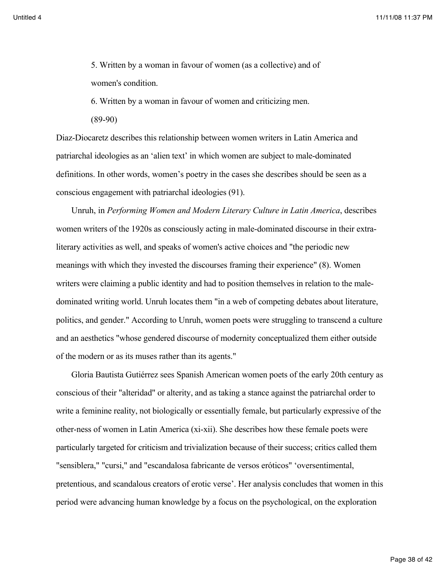5. Written by a woman in favour of women (as a collective) and of women's condition.

6. Written by a woman in favour of women and criticizing men.

(89-90)

Diaz-Diocaretz describes this relationship between women writers in Latin America and patriarchal ideologies as an 'alien text' in which women are subject to male-dominated definitions. In other words, women's poetry in the cases she describes should be seen as a conscious engagement with patriarchal ideologies (91).

Unruh, in *Performing Women and Modern Literary Culture in Latin America*, describes women writers of the 1920s as consciously acting in male-dominated discourse in their extraliterary activities as well, and speaks of women's active choices and "the periodic new meanings with which they invested the discourses framing their experience" (8). Women writers were claiming a public identity and had to position themselves in relation to the maledominated writing world. Unruh locates them "in a web of competing debates about literature, politics, and gender." According to Unruh, women poets were struggling to transcend a culture and an aesthetics "whose gendered discourse of modernity conceptualized them either outside of the modern or as its muses rather than its agents."

Gloria Bautista Gutiérrez sees Spanish American women poets of the early 20th century as conscious of their "alteridad" or alterity, and as taking a stance against the patriarchal order to write a feminine reality, not biologically or essentially female, but particularly expressive of the other-ness of women in Latin America (xi-xii). She describes how these female poets were particularly targeted for criticism and trivialization because of their success; critics called them "sensiblera," "cursi," and "escandalosa fabricante de versos eróticos" 'oversentimental, pretentious, and scandalous creators of erotic verse'. Her analysis concludes that women in this period were advancing human knowledge by a focus on the psychological, on the exploration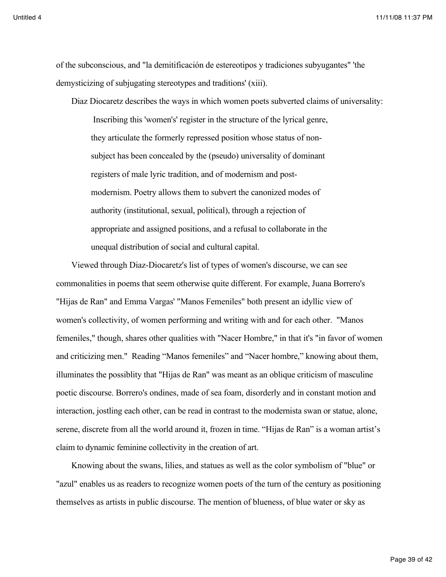of the subconscious, and "la demitificación de estereotipos y tradiciones subyugantes" 'the demysticizing of subjugating stereotypes and traditions' (xiii).

Diaz Diocaretz describes the ways in which women poets subverted claims of universality: Inscribing this 'women's' register in the structure of the lyrical genre, they articulate the formerly repressed position whose status of nonsubject has been concealed by the (pseudo) universality of dominant registers of male lyric tradition, and of modernism and postmodernism. Poetry allows them to subvert the canonized modes of authority (institutional, sexual, political), through a rejection of appropriate and assigned positions, and a refusal to collaborate in the unequal distribution of social and cultural capital.

Viewed through Diaz-Diocaretz's list of types of women's discourse, we can see commonalities in poems that seem otherwise quite different. For example, Juana Borrero's "Hijas de Ran" and Emma Vargas' "Manos Femeniles" both present an idyllic view of women's collectivity, of women performing and writing with and for each other. "Manos femeniles," though, shares other qualities with "Nacer Hombre," in that it's "in favor of women and criticizing men." Reading "Manos femeniles" and "Nacer hombre," knowing about them, illuminates the possiblity that "Hijas de Ran" was meant as an oblique criticism of masculine poetic discourse. Borrero's ondines, made of sea foam, disorderly and in constant motion and interaction, jostling each other, can be read in contrast to the modernista swan or statue, alone, serene, discrete from all the world around it, frozen in time. "Hijas de Ran" is a woman artist's claim to dynamic feminine collectivity in the creation of art.

Knowing about the swans, lilies, and statues as well as the color symbolism of "blue" or "azul" enables us as readers to recognize women poets of the turn of the century as positioning themselves as artists in public discourse. The mention of blueness, of blue water or sky as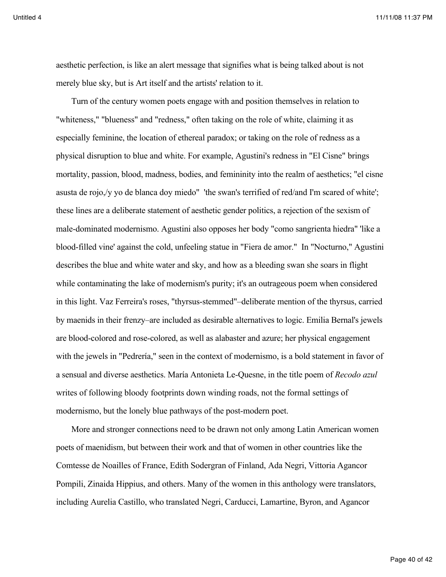aesthetic perfection, is like an alert message that signifies what is being talked about is not merely blue sky, but is Art itself and the artists' relation to it.

Turn of the century women poets engage with and position themselves in relation to "whiteness," "blueness" and "redness," often taking on the role of white, claiming it as especially feminine, the location of ethereal paradox; or taking on the role of redness as a physical disruption to blue and white. For example, Agustini's redness in "El Cisne" brings mortality, passion, blood, madness, bodies, and femininity into the realm of aesthetics; "el cisne asusta de rojo,/y yo de blanca doy miedo" 'the swan's terrified of red/and I'm scared of white'; these lines are a deliberate statement of aesthetic gender politics, a rejection of the sexism of male-dominated modernismo. Agustini also opposes her body "como sangrienta hiedra" 'like a blood-filled vine' against the cold, unfeeling statue in "Fiera de amor." In "Nocturno," Agustini describes the blue and white water and sky, and how as a bleeding swan she soars in flight while contaminating the lake of modernism's purity; it's an outrageous poem when considered in this light. Vaz Ferreira's roses, "thyrsus-stemmed"–deliberate mention of the thyrsus, carried by maenids in their frenzy–are included as desirable alternatives to logic. Emilia Bernal's jewels are blood-colored and rose-colored, as well as alabaster and azure; her physical engagement with the jewels in "Pedrería," seen in the context of modernismo, is a bold statement in favor of a sensual and diverse aesthetics. María Antonieta Le-Quesne, in the title poem of *Recodo azul* writes of following bloody footprints down winding roads, not the formal settings of modernismo, but the lonely blue pathways of the post-modern poet.

More and stronger connections need to be drawn not only among Latin American women poets of maenidism, but between their work and that of women in other countries like the Comtesse de Noailles of France, Edith Sodergran of Finland, Ada Negri, Vittoria Agancor Pompili, Zinaida Hippius, and others. Many of the women in this anthology were translators, including Aurelia Castillo, who translated Negri, Carducci, Lamartine, Byron, and Agancor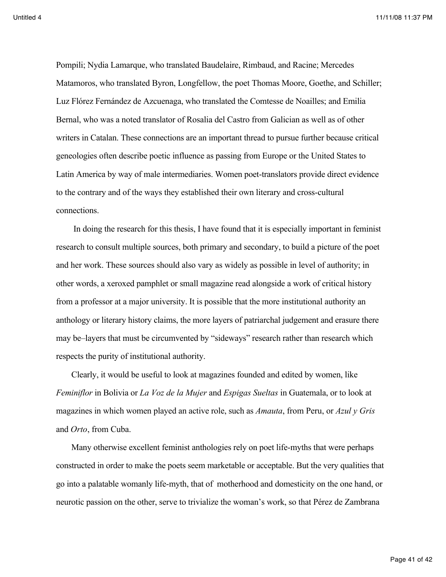Pompili; Nydia Lamarque, who translated Baudelaire, Rimbaud, and Racine; Mercedes Matamoros, who translated Byron, Longfellow, the poet Thomas Moore, Goethe, and Schiller; Luz Flórez Fernández de Azcuenaga, who translated the Comtesse de Noailles; and Emilia Bernal, who was a noted translator of Rosalia del Castro from Galician as well as of other writers in Catalan. These connections are an important thread to pursue further because critical geneologies often describe poetic influence as passing from Europe or the United States to Latin America by way of male intermediaries. Women poet-translators provide direct evidence to the contrary and of the ways they established their own literary and cross-cultural connections.

 In doing the research for this thesis, I have found that it is especially important in feminist research to consult multiple sources, both primary and secondary, to build a picture of the poet and her work. These sources should also vary as widely as possible in level of authority; in other words, a xeroxed pamphlet or small magazine read alongside a work of critical history from a professor at a major university. It is possible that the more institutional authority an anthology or literary history claims, the more layers of patriarchal judgement and erasure there may be–layers that must be circumvented by "sideways" research rather than research which respects the purity of institutional authority.

Clearly, it would be useful to look at magazines founded and edited by women, like *Feminiflor* in Bolivia or *La Voz de la Mujer* and *Espigas Sueltas* in Guatemala, or to look at magazines in which women played an active role, such as *Amauta*, from Peru, or *Azul y Gris* and *Orto*, from Cuba.

Many otherwise excellent feminist anthologies rely on poet life-myths that were perhaps constructed in order to make the poets seem marketable or acceptable. But the very qualities that go into a palatable womanly life-myth, that of motherhood and domesticity on the one hand, or neurotic passion on the other, serve to trivialize the woman's work, so that Pérez de Zambrana